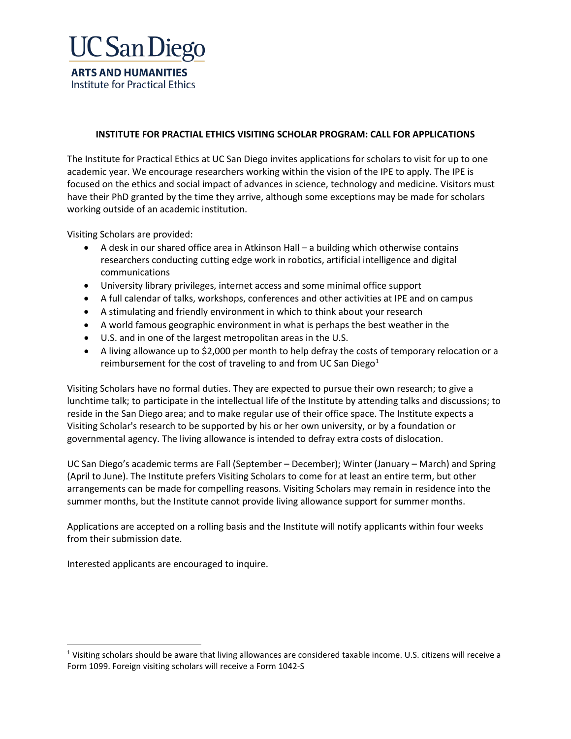

## **INSTITUTE FOR PRACTIAL ETHICS VISITING SCHOLAR PROGRAM: CALL FOR APPLICATIONS**

The Institute for Practical Ethics at UC San Diego invites applications for scholars to visit for up to one academic year. We encourage researchers working within the vision of the IPE to apply. The IPE is focused on the ethics and social impact of advances in science, technology and medicine. Visitors must have their PhD granted by the time they arrive, although some exceptions may be made for scholars working outside of an academic institution.

Visiting Scholars are provided:

- A desk in our shared office area in Atkinson Hall a building which otherwise contains researchers conducting cutting edge work in robotics, artificial intelligence and digital communications
- University library privileges, internet access and some minimal office support
- A full calendar of talks, workshops, conferences and other activities at IPE and on campus
- A stimulating and friendly environment in which to think about your research
- A world famous geographic environment in what is perhaps the best weather in the
- U.S. and in one of the largest metropolitan areas in the U.S.
- A living allowance up to \$2,000 per month to help defray the costs of temporary relocation or a reimbursement for the cost of traveling to and from UC San Diego $1$

Visiting Scholars have no formal duties. They are expected to pursue their own research; to give a lunchtime talk; to participate in the intellectual life of the Institute by attending talks and discussions; to reside in the San Diego area; and to make regular use of their office space. The Institute expects a Visiting Scholar's research to be supported by his or her own university, or by a foundation or governmental agency. The living allowance is intended to defray extra costs of dislocation.

UC San Diego's academic terms are Fall (September – December); Winter (January – March) and Spring (April to June). The Institute prefers Visiting Scholars to come for at least an entire term, but other arrangements can be made for compelling reasons. Visiting Scholars may remain in residence into the summer months, but the Institute cannot provide living allowance support for summer months.

Applications are accepted on a rolling basis and the Institute will notify applicants within four weeks from their submission date.

Interested applicants are encouraged to inquire.

<span id="page-0-0"></span> $1$  Visiting scholars should be aware that living allowances are considered taxable income. U.S. citizens will receive a Form 1099. Foreign visiting scholars will receive a Form 1042-S